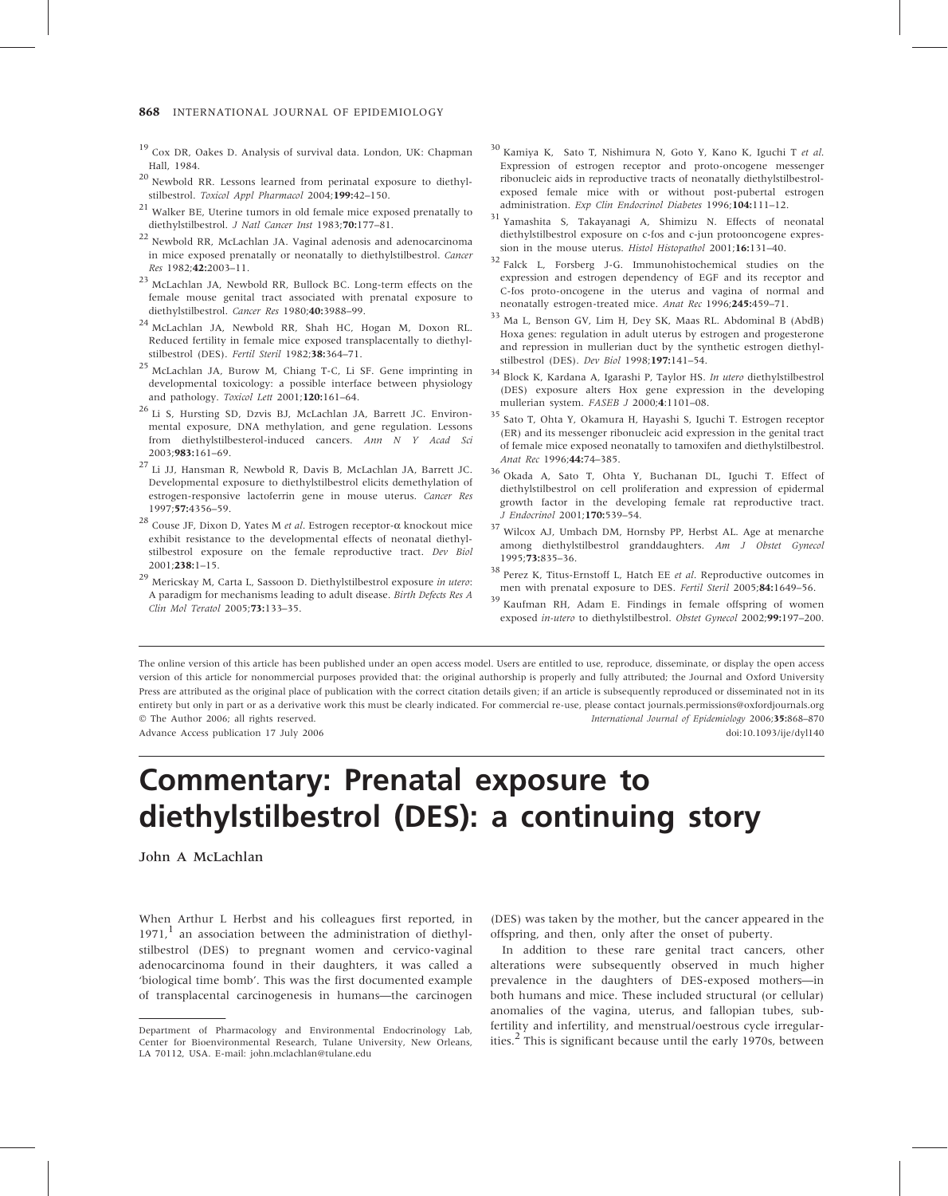- <sup>19</sup> Cox DR, Oakes D. Analysis of survival data. London, UK: Chapman Hall, 1984.
- <sup>20</sup> Newbold RR. Lessons learned from perinatal exposure to diethylstilbestrol. Toxicol Appl Pharmacol 2004;199:42-150.
- <sup>21</sup> Walker BE, Uterine tumors in old female mice exposed prenatally to diethylstilbestrol. J Natl Cancer Inst 1983;70:177-81.
- <sup>22</sup> Newbold RR, McLachlan JA. Vaginal adenosis and adenocarcinoma in mice exposed prenatally or neonatally to diethylstilbestrol. Cancer Res 1982;42:2003–11.
- <sup>23</sup> McLachlan JA, Newbold RR, Bullock BC. Long-term effects on the female mouse genital tract associated with prenatal exposure to diethylstilbestrol. Cancer Res 1980;40:3988–99.
- <sup>24</sup> McLachlan JA, Newbold RR, Shah HC, Hogan M, Doxon RL. Reduced fertility in female mice exposed transplacentally to diethylstilbestrol (DES). Fertil Steril 1982;38:364–71.
- <sup>25</sup> McLachlan JA, Burow M, Chiang T-C, Li SF. Gene imprinting in developmental toxicology: a possible interface between physiology and pathology. Toxicol Lett 2001;120:161–64.
- <sup>26</sup> Li S, Hursting SD, Dzvis BJ, McLachlan JA, Barrett JC. Environmental exposure, DNA methylation, and gene regulation. Lessons from diethylstilbesterol-induced cancers. Ann N Y Acad Sci 2003;983:161–69.
- <sup>27</sup> Li JJ, Hansman R, Newbold R, Davis B, McLachlan JA, Barrett JC. Developmental exposure to diethylstilbestrol elicits demethylation of estrogen-responsive lactoferrin gene in mouse uterus. Cancer Res 1997;57:4356–59.
- $^{28}$  Couse JF, Dixon D, Yates M  $et$   $al.$  Estrogen receptor- $\alpha$  knockout mice exhibit resistance to the developmental effects of neonatal diethylstilbestrol exposure on the female reproductive tract. Dev Biol 2001;238:1–15.
- <sup>29</sup> Mericskay M, Carta L, Sassoon D. Diethylstilbestrol exposure in utero: A paradigm for mechanisms leading to adult disease. Birth Defects Res A Clin Mol Teratol 2005;73:133–35.
- <sup>30</sup> Kamiya K, Sato T, Nishimura N, Goto Y, Kano K, Iguchi <sup>T</sup> et al. Expression of estrogen receptor and proto-oncogene messenger ribonucleic aids in reproductive tracts of neonatally diethylstilbestrolexposed female mice with or without post-pubertal estrogen administration. Exp Clin Endocrinol Diabetes 1996:104:111-12.
- <sup>31</sup> Yamashita S, Takayanagi A, Shimizu N. Effects of neonatal diethylstilbestrol exposure on c-fos and c-jun protooncogene expression in the mouse uterus. Histol Histopathol 2001;16:131-40.
- <sup>32</sup> Falck L, Forsberg J-G. Immunohistochemical studies on the expression and estrogen dependency of EGF and its receptor and C-fos proto-oncogene in the uterus and vagina of normal and neonatally estrogen-treated mice. Anat Rec 1996;245:459–71.
- <sup>33</sup> Ma L, Benson GV, Lim H, Dey SK, Maas RL. Abdominal B (AbdB) Hoxa genes: regulation in adult uterus by estrogen and progesterone and repression in mullerian duct by the synthetic estrogen diethylstilbestrol (DES). Dev Biol 1998;197:141–54.
- $^{34}$  Block K, Kardana A, Igarashi P, Taylor HS. In utero diethylstilbestrol (DES) exposure alters Hox gene expression in the developing mullerian system. FASEB J 2000;4:1101–08.
- <sup>35</sup> Sato T, Ohta Y, Okamura H, Hayashi S, Iguchi T. Estrogen receptor (ER) and its messenger ribonucleic acid expression in the genital tract of female mice exposed neonatally to tamoxifen and diethylstilbestrol. Anat Rec 1996;44:74–385.
- <sup>36</sup> Okada A, Sato T, Ohta Y, Buchanan DL, Iguchi T. Effect of diethylstilbestrol on cell proliferation and expression of epidermal growth factor in the developing female rat reproductive tract. J Endocrinol 2001;170:539–54.
- <sup>37</sup> Wilcox AJ, Umbach DM, Hornsby PP, Herbst AL. Age at menarche among diethylstilbestrol granddaughters. Am J Obstet Gynecol 1995;73:835–36.
- $^{38}$  Perez K, Titus-Ernstoff L, Hatch EE et al. Reproductive outcomes in men with prenatal exposure to DES. Fertil Steril 2005;84:1649–56.
- <sup>39</sup> Kaufman RH, Adam E. Findings in female offspring of women exposed in-utero to diethylstilbestrol. Obstet Gynecol 2002;99:197–200.

The online version of this article has been published under an open access model. Users are entitled to use, reproduce, disseminate, or display the open access version of this article for nonommercial purposes provided that: the original authorship is properly and fully attributed; the Journal and Oxford University Press are attributed as the original place of publication with the correct citation details given; if an article is subsequently reproduced or disseminated not in its entirety but only in part or as a derivative work this must be clearly indicated. For commercial re-use, please contact journals.permissions@oxfordjournals.org © The Author 2006; all rights reserved. International Journal of Epidemiology 2006;35:868-870 Advance Access publication 17 July 2006 doi:10.1093/ije/dyl140

## Commentary: Prenatal exposure to diethylstilbestrol (DES): a continuing story

John A McLachlan

When Arthur L Herbst and his colleagues first reported, in  $1971<sup>1</sup>$  an association between the administration of diethylstilbestrol (DES) to pregnant women and cervico-vaginal adenocarcinoma found in their daughters, it was called a 'biological time bomb'. This was the first documented example of transplacental carcinogenesis in humans—the carcinogen (DES) was taken by the mother, but the cancer appeared in the offspring, and then, only after the onset of puberty.

In addition to these rare genital tract cancers, other alterations were subsequently observed in much higher prevalence in the daughters of DES-exposed mothers—in both humans and mice. These included structural (or cellular) anomalies of the vagina, uterus, and fallopian tubes, subfertility and infertility, and menstrual/oestrous cycle irregularities. $<sup>2</sup>$  This is significant because until the early 1970s, between</sup>

Department of Pharmacology and Environmental Endocrinology Lab, Center for Bioenvironmental Research, Tulane University, New Orleans, LA 70112, USA. E-mail: john.mclachlan@tulane.edu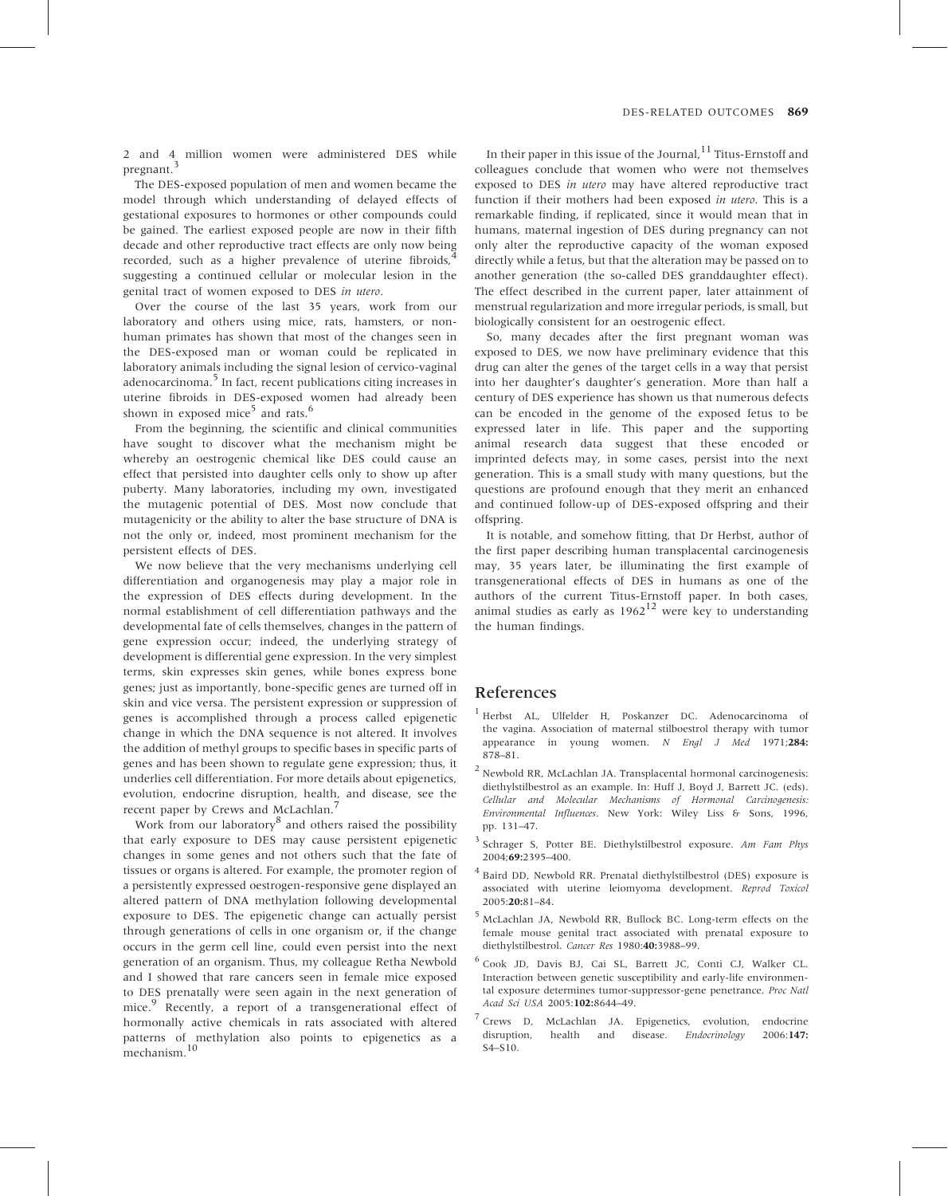2 and 4 million women were administered DES while pregnant.<sup>3</sup>

The DES-exposed population of men and women became the model through which understanding of delayed effects of gestational exposures to hormones or other compounds could be gained. The earliest exposed people are now in their fifth decade and other reproductive tract effects are only now being recorded, such as a higher prevalence of uterine fibroids, suggesting a continued cellular or molecular lesion in the genital tract of women exposed to DES in utero.

Over the course of the last 35 years, work from our laboratory and others using mice, rats, hamsters, or nonhuman primates has shown that most of the changes seen in the DES-exposed man or woman could be replicated in laboratory animals including the signal lesion of cervico-vaginal adenocarcinoma.<sup>5</sup> In fact, recent publications citing increases in uterine fibroids in DES-exposed women had already been shown in exposed mice<sup>5</sup> and rats.<sup>6</sup>

From the beginning, the scientific and clinical communities have sought to discover what the mechanism might be whereby an oestrogenic chemical like DES could cause an effect that persisted into daughter cells only to show up after puberty. Many laboratories, including my own, investigated the mutagenic potential of DES. Most now conclude that mutagenicity or the ability to alter the base structure of DNA is not the only or, indeed, most prominent mechanism for the persistent effects of DES.

We now believe that the very mechanisms underlying cell differentiation and organogenesis may play a major role in the expression of DES effects during development. In the normal establishment of cell differentiation pathways and the developmental fate of cells themselves, changes in the pattern of gene expression occur; indeed, the underlying strategy of development is differential gene expression. In the very simplest terms, skin expresses skin genes, while bones express bone genes; just as importantly, bone-specific genes are turned off in skin and vice versa. The persistent expression or suppression of genes is accomplished through a process called epigenetic change in which the DNA sequence is not altered. It involves the addition of methyl groups to specific bases in specific parts of genes and has been shown to regulate gene expression; thus, it underlies cell differentiation. For more details about epigenetics, evolution, endocrine disruption, health, and disease, see the recent paper by Crews and McLachlan.<sup>7</sup>

Work from our laboratory<sup>8</sup> and others raised the possibility that early exposure to DES may cause persistent epigenetic changes in some genes and not others such that the fate of tissues or organs is altered. For example, the promoter region of a persistently expressed oestrogen-responsive gene displayed an altered pattern of DNA methylation following developmental exposure to DES. The epigenetic change can actually persist through generations of cells in one organism or, if the change occurs in the germ cell line, could even persist into the next generation of an organism. Thus, my colleague Retha Newbold and I showed that rare cancers seen in female mice exposed to DES prenatally were seen again in the next generation of mice.<sup>9</sup> Recently, a report of a transgenerational effect of hormonally active chemicals in rats associated with altered patterns of methylation also points to epigenetics as a mechanism.<sup>10</sup>

In their paper in this issue of the Journal,  $11$  Titus-Ernstoff and colleagues conclude that women who were not themselves exposed to DES in utero may have altered reproductive tract function if their mothers had been exposed in utero. This is a remarkable finding, if replicated, since it would mean that in humans, maternal ingestion of DES during pregnancy can not only alter the reproductive capacity of the woman exposed directly while a fetus, but that the alteration may be passed on to another generation (the so-called DES granddaughter effect). The effect described in the current paper, later attainment of menstrual regularization and more irregular periods, is small, but biologically consistent for an oestrogenic effect.

So, many decades after the first pregnant woman was exposed to DES, we now have preliminary evidence that this drug can alter the genes of the target cells in a way that persist into her daughter's daughter's generation. More than half a century of DES experience has shown us that numerous defects can be encoded in the genome of the exposed fetus to be expressed later in life. This paper and the supporting animal research data suggest that these encoded or imprinted defects may, in some cases, persist into the next generation. This is a small study with many questions, but the questions are profound enough that they merit an enhanced and continued follow-up of DES-exposed offspring and their offspring.

It is notable, and somehow fitting, that Dr Herbst, author of the first paper describing human transplacental carcinogenesis may, 35 years later, be illuminating the first example of transgenerational effects of DES in humans as one of the authors of the current Titus-Ernstoff paper. In both cases, animal studies as early as  $1962^{12}$  were key to understanding the human findings.

## References

- <sup>1</sup> Herbst AL, Ulfelder H, Poskanzer DC. Adenocarcinoma of the vagina. Association of maternal stilboestrol therapy with tumor appearance in young women.  $N$  Engl J Med 1971;284: 878–81.
- <sup>2</sup> Newbold RR, McLachlan JA. Transplacental hormonal carcinogenesis: diethylstilbestrol as an example. In: Huff J, Boyd J, Barrett JC. (eds). Cellular and Molecular Mechanisms of Hormonal Carcinogenesis: Environmental Influences. New York: Wiley Liss & Sons, 1996, pp. 131–47.
- <sup>3</sup> Schrager S, Potter BE. Diethylstilbestrol exposure. Am Fam Phys 2004;69:2395–400.
- <sup>4</sup> Baird DD, Newbold RR. Prenatal diethylstilbestrol (DES) exposure is associated with uterine leiomyoma development. Reprod Toxicol 2005:20:81–84.
- <sup>5</sup> McLachlan JA, Newbold RR, Bullock BC. Long-term effects on the female mouse genital tract associated with prenatal exposure to diethylstilbestrol. Cancer Res 1980:40:3988–99.
- <sup>6</sup> Cook JD, Davis BJ, Cai SL, Barrett JC, Conti CJ, Walker CL. Interaction between genetic susceptibility and early-life environmental exposure determines tumor-suppressor-gene penetrance. Proc Natl Acad Sci USA 2005:102:8644–49.
- <sup>7</sup> Crews D, McLachlan JA. Epigenetics, evolution, endocrine disruption, health and disease. *Endocrinology* 2006:147: S4–S10.